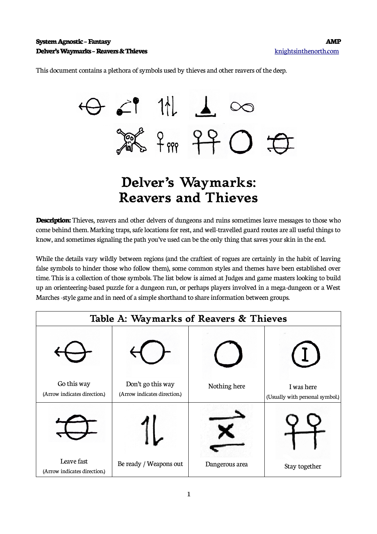This document contains a plethora of symbols used by thieves and other reavers of the deep.



## **Delver's Waymarks: Reavers and Thieves**

**Description:** Thieves, reavers and other delvers of dungeons and ruins sometimes leave messages to those who come behind them. Marking traps, safe locations for rest, and well-travelled guard routes are all useful things to know, and sometimes signaling the path you've used can be the only thing that saves your skin in the end.

While the details vary wildly between regions (and the craftiest of rogues are certainly in the habit of leaving false symbols to hinder those who follow them), some common styles and themes have been established over time. This is a collection of those symbols. The list below is aimed at Judges and game masters looking to build up an orienteering-based puzzle for a dungeon run, or perhaps players involved in a mega-dungeon or a West Marches -style game and in need of a simple shorthand to share information between groups.

| Table A: Waymarks of Reavers & Thieves      |                                                   |                |                                               |  |
|---------------------------------------------|---------------------------------------------------|----------------|-----------------------------------------------|--|
|                                             |                                                   |                |                                               |  |
| Go this way<br>(Arrow indicates direction.) | Don't go this way<br>(Arrow indicates direction.) | Nothing here   | I was here<br>(Usually with personal symbol.) |  |
|                                             |                                                   |                |                                               |  |
| Leave fast<br>(Arrow indicates direction.)  | Be ready / Weapons out                            | Dangerous area | Stay together                                 |  |